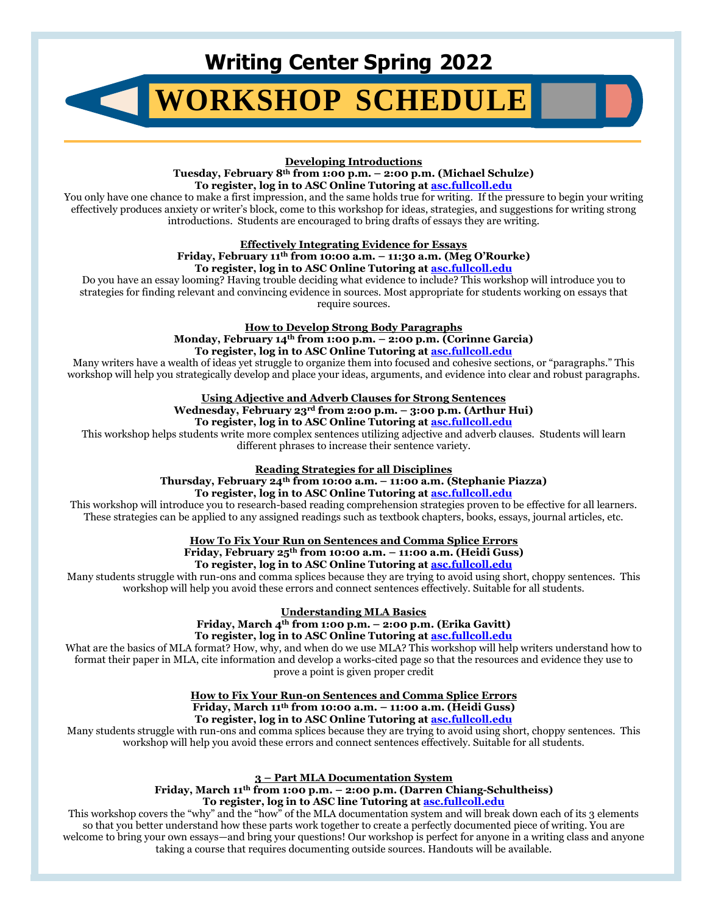# **Writing Center Spring 2022**

# **[WORKSHOP](https://academicsupport.fullcoll.edu/workshops/) SCHEDULE**

#### **Developing Introductions**

**Tuesday, February 8th from 1:00 p.m. – 2:00 p.m. (Michael Schulze) To register, log in to ASC Online Tutoring a[t asc.fullcoll.edu](https://academicsupport.fullcoll.edu/)**

You only have one chance to make a first impression, and the same holds true for writing. If the pressure to begin your writing effectively produces anxiety or writer's block, come to this workshop for ideas, strategies, and suggestions for writing strong introductions. Students are encouraged to bring drafts of essays they are writing.

#### **Effectively Integrating Evidence for Essays Friday, February 11th from 10:00 a.m. – 11:30 a.m. (Meg O'Rourke) To register, log in to ASC Online Tutoring a[t asc.fullcoll.edu](https://academicsupport.fullcoll.edu/)**

Do you have an essay looming? Having trouble deciding what evidence to include? This workshop will introduce you to strategies for finding relevant and convincing evidence in sources. Most appropriate for students working on essays that require sources.

> **How to Develop Strong Body Paragraphs Monday, February 14th from 1:00 p.m. – 2:00 p.m. (Corinne Garcia) To register, log in to ASC Online Tutoring a[t asc.fullcoll.edu](https://academicsupport.fullcoll.edu/)**

Many writers have a wealth of ideas yet struggle to organize them into focused and cohesive sections, or "paragraphs." This workshop will help you strategically develop and place your ideas, arguments, and evidence into clear and robust paragraphs.

### **Using Adjective and Adverb Clauses for Strong Sentences**

**Wednesday, February 23rd from 2:00 p.m. – 3:00 p.m. (Arthur Hui)**

**To register, log in to ASC Online Tutoring a[t asc.fullcoll.edu](https://academicsupport.fullcoll.edu/)**

This workshop helps students write more complex sentences utilizing adjective and adverb clauses. Students will learn different phrases to increase their sentence variety.

**Reading Strategies for all Disciplines**

**Thursday, February 24th from 10:00 a.m. – 11:00 a.m. (Stephanie Piazza) To register, log in to ASC Online Tutoring a[t asc.fullcoll.edu](https://academicsupport.fullcoll.edu/)**

This workshop will introduce you to research-based reading comprehension strategies proven to be effective for all learners. These strategies can be applied to any assigned readings such as textbook chapters, books, essays, journal articles, etc.

**How To Fix Your Run on Sentences and Comma Splice Errors**

**Friday, February 25th from 10:00 a.m. – 11:00 a.m. (Heidi Guss)**

**To register, log in to ASC Online Tutoring a[t asc.fullcoll.edu](https://academicsupport.fullcoll.edu/)**

Many students struggle with run-ons and comma splices because they are trying to avoid using short, choppy sentences. This workshop will help you avoid these errors and connect sentences effectively. Suitable for all students.

**Understanding MLA Basics**

**Friday, March 4th from 1:00 p.m. – 2:00 p.m. (Erika Gavitt) To register, log in to ASC Online Tutoring a[t asc.fullcoll.edu](https://academicsupport.fullcoll.edu/)**

What are the basics of MLA format? How, why, and when do we use MLA? This workshop will help writers understand how to format their paper in MLA, cite information and develop a works-cited page so that the resources and evidence they use to prove a point is given proper credit

> **How to Fix Your Run-on Sentences and Comma Splice Errors Friday, March 11th from 10:00 a.m. – 11:00 a.m. (Heidi Guss) To register, log in to ASC Online Tutoring a[t asc.fullcoll.edu](https://academicsupport.fullcoll.edu/)**

Many students struggle with run-ons and comma splices because they are trying to avoid using short, choppy sentences. This workshop will help you avoid these errors and connect sentences effectively. Suitable for all students.

> **3 – Part MLA Documentation System Friday, March 11th from 1:00 p.m. – 2:00 p.m. (Darren Chiang-Schultheiss) To register, log in to ASC line Tutoring a[t asc.fullcoll.edu](https://academicsupport.fullcoll.edu/)**

This workshop covers the "why" and the "how" of the MLA documentation system and will break down each of its 3 elements so that you better understand how these parts work together to create a perfectly documented piece of writing. You are welcome to bring your own essays—and bring your questions! Our workshop is perfect for anyone in a writing class and anyone taking a course that requires documenting outside sources. Handouts will be available.